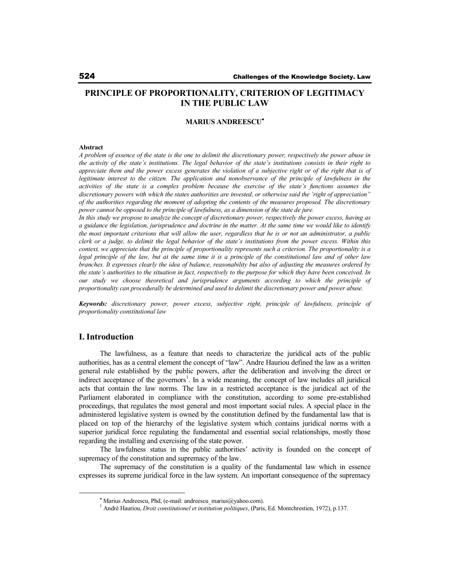# **PRINCIPLE OF PROPORTIONALITY, CRITERION OF LEGITIMACY IN THE PUBLIC LAW**

## **MARIUS ANDREESCU**

#### **Abstract**

*A problem of essence of the state is the one to delimit the discretionary power, respectively the power abuse in the activity of the state's institutions. The legal behavior of the state's institutions consists in their right to appreciate them and the power excess generates the violation of a subjective right or of the right that is of legitimate interest to the citizen. The application and nonobservance of the principle of lawfulness in the activities of the state is a complex problem because the exercise of the state's functions assumes the discretionary powers with which the states authorities are invested, or otherwise said the 'right of appreciation" of the authorities regarding the moment of adopting the contents of the measures proposed. The discretionary power cannot be opposed to the principle of lawfulness, as a dimension of the state de jure.* 

*In this study we propose to analyze the concept of discretionary power, respectively the power excess, having as a guidance the legislation, jurisprudence and doctrine in the matter. At the same time we would like to identify the most important criterions that will allow the user, regardless that he is or not an administrator, a public clerk or a judge, to delimit the legal behavior of the state's institutions from the power excess. Within this context, we appreciate that the principle of proportionality represents such a criterion. The proportionality is a legal principle of the law, but at the same time it is a principle of the constitutional law and of other law branches. It expresses clearly the idea of balance, reasonability but also of adjusting the measures ordered by the state's authorities to the situation in fact, respectively to the purpose for which they have been conceived. In our study we choose theoretical and jurisprudence arguments according to which the principle of proportionality can procedurally be determined and used to delimit the discretionary power and power abuse.* 

*Keywords: discretionary power, power excess, subjective right, principle of lawfulness, principle of proportionality constitutional law* 

## **I. Introduction**

The lawfulness, as a feature that needs to characterize the juridical acts of the public authorities, has as a central element the concept of "law". Andre Hauriou defined the law as a written general rule established by the public powers, after the deliberation and involving the direct or indirect acceptance of the governors<sup>1</sup>. In a wide meaning, the concept of law includes all juridical acts that contain the law norms. The law in a restricted acceptance is the juridical act of the Parliament elaborated in compliance with the constitution, according to some pre-established proceedings, that regulates the most general and most important social rules. A special place in the administered legislative system is owned by the constitution defined by the fundamental law that is placed on top of the hierarchy of the legislative system which contains juridical norms with a superior juridical force regulating the fundamental and essential social relationships, mostly those regarding the installing and exercising of the state power.

The lawfulness status in the public authorities' activity is founded on the concept of supremacy of the constitution and supremacy of the law.

The supremacy of the constitution is a quality of the fundamental law which in essence expresses its supreme juridical force in the law system. An important consequence of the supremacy

 $*$  Marius Andreescu, Phd, (e-mail: andreescu\_marius@yahoo.com).

<sup>&</sup>lt;sup>1</sup> André Hauriou, *Droit constitutionel et institution politiques*, (Paris, Ed. Montchrestien, 1972), p.137.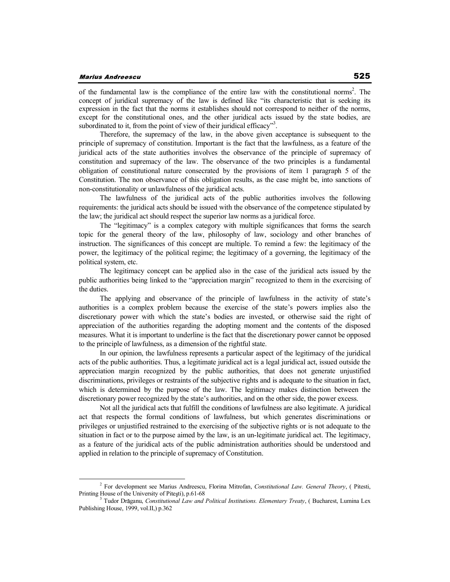of the fundamental law is the compliance of the entire law with the constitutional norms<sup>2</sup>. The concept of juridical supremacy of the law is defined like "its characteristic that is seeking its expression in the fact that the norms it establishes should not correspond to neither of the norms, except for the constitutional ones, and the other juridical acts issued by the state bodies, are subordinated to it, from the point of view of their juridical efficacy"<sup>3</sup>.

Therefore, the supremacy of the law, in the above given acceptance is subsequent to the principle of supremacy of constitution. Important is the fact that the lawfulness, as a feature of the juridical acts of the state authorities involves the observance of the principle of supremacy of constitution and supremacy of the law. The observance of the two principles is a fundamental obligation of constitutional nature consecrated by the provisions of item 1 paragraph 5 of the Constitution. The non observance of this obligation results, as the case might be, into sanctions of non-constitutionality or unlawfulness of the juridical acts.

The lawfulness of the juridical acts of the public authorities involves the following requirements: the juridical acts should be issued with the observance of the competence stipulated by the law; the juridical act should respect the superior law norms as a juridical force.

The "legitimacy" is a complex category with multiple significances that forms the search topic for the general theory of the law, philosophy of law, sociology and other branches of instruction. The significances of this concept are multiple. To remind a few: the legitimacy of the power, the legitimacy of the political regime; the legitimacy of a governing, the legitimacy of the political system, etc.

The legitimacy concept can be applied also in the case of the juridical acts issued by the public authorities being linked to the "appreciation margin" recognized to them in the exercising of the duties.

The applying and observance of the principle of lawfulness in the activity of state's authorities is a complex problem because the exercise of the state's powers implies also the discretionary power with which the state's bodies are invested, or otherwise said the right of appreciation of the authorities regarding the adopting moment and the contents of the disposed measures. What it is important to underline is the fact that the discretionary power cannot be opposed to the principle of lawfulness, as a dimension of the rightful state.

In our opinion, the lawfulness represents a particular aspect of the legitimacy of the juridical acts of the public authorities. Thus, a legitimate juridical act is a legal juridical act, issued outside the appreciation margin recognized by the public authorities, that does not generate unjustified discriminations, privileges or restraints of the subjective rights and is adequate to the situation in fact, which is determined by the purpose of the law. The legitimacy makes distinction between the discretionary power recognized by the state's authorities, and on the other side, the power excess.

Not all the juridical acts that fulfill the conditions of lawfulness are also legitimate. A juridical act that respects the formal conditions of lawfulness, but which generates discriminations or privileges or unjustified restrained to the exercising of the subjective rights or is not adequate to the situation in fact or to the purpose aimed by the law, is an un-legitimate juridical act. The legitimacy, as a feature of the juridical acts of the public administration authorities should be understood and applied in relation to the principle of supremacy of Constitution.

<sup>2</sup> For development see Marius Andreescu, Florina Mitrofan, *Constitutional Law. General Theory*, ( Pitesti, Printing House of the University of Pitești), p.61-68

Tudor Drăganu, *Constitutional Law and Political Institutions. Elementary Treaty*, ( Bucharest, Lumina Lex Publishing House, 1999, vol.II,) p.362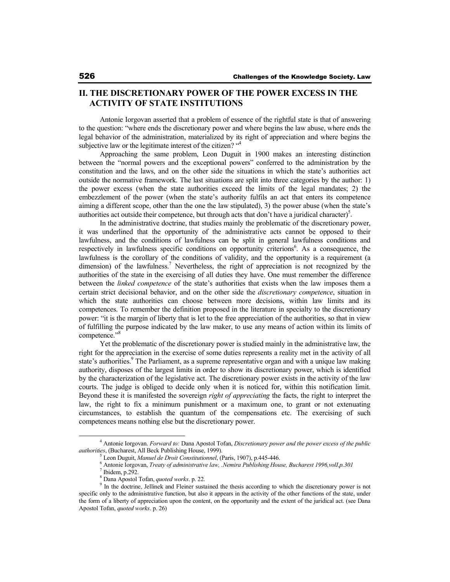# **II. THE DISCRETIONARY POWER OF THE POWER EXCESS IN THE ACTIVITY OF STATE INSTITUTIONS**

Antonie Iorgovan asserted that a problem of essence of the rightful state is that of answering to the question: "where ends the discretionary power and where begins the law abuse, where ends the legal behavior of the administration, materialized by its right of appreciation and where begins the subjective law or the legitimate interest of the citizen? "4

Approaching the same problem, Leon Duguit in 1900 makes an interesting distinction between the "normal powers and the exceptional powers" conferred to the administration by the constitution and the laws, and on the other side the situations in which the state's authorities act outside the normative framework. The last situations are split into three categories by the author: 1) the power excess (when the state authorities exceed the limits of the legal mandates; 2) the embezzlement of the power (when the state's authority fulfils an act that enters its competence aiming a different scope, other than the one the law stipulated), 3) the power abuse (when the state's authorities act outside their competence, but through acts that don't have a juridical character)<sup>5</sup>.

In the administrative doctrine, that studies mainly the problematic of the discretionary power, it was underlined that the opportunity of the administrative acts cannot be opposed to their lawfulness, and the conditions of lawfulness can be split in general lawfulness conditions and respectively in lawfulness specific conditions on opportunity criterions<sup>6</sup>. As a consequence, the lawfulness is the corollary of the conditions of validity, and the opportunity is a requirement (a dimension) of the lawfulness.<sup>7</sup> Nevertheless, the right of appreciation is not recognized by the authorities of the state in the exercising of all duties they have. One must remember the difference between the *linked competence* of the state's authorities that exists when the law imposes them a certain strict decisional behavior, and on the other side the *discretionary competence*, situation in which the state authorities can choose between more decisions, within law limits and its competences. To remember the definition proposed in the literature in specialty to the discretionary power: "it is the margin of liberty that is let to the free appreciation of the authorities, so that in view of fulfilling the purpose indicated by the law maker, to use any means of action within its limits of competence."<sup>8</sup>

Yet the problematic of the discretionary power is studied mainly in the administrative law, the right for the appreciation in the exercise of some duties represents a reality met in the activity of all state's authorities.<sup>9</sup> The Parliament, as a supreme representative organ and with a unique law making authority, disposes of the largest limits in order to show its discretionary power, which is identified by the characterization of the legislative act. The discretionary power exists in the activity of the law courts. The judge is obliged to decide only when it is noticed for, within this notification limit. Beyond these it is manifested the sovereign *right of appreciating* the facts, the right to interpret the law, the right to fix a minimum punishment or a maximum one, to grant or not extenuating circumstances, to establish the quantum of the compensations etc. The exercising of such competences means nothing else but the discretionary power.

<sup>4</sup> Antonie Iorgovan. *Forward to:* Dana Apostol Tofan, *Discretionary power and the power excess of the public authorities*, (Bucharest, All Beck Publishing House, 1999).

<sup>5</sup> Leon Duguit, *Manuel de Droit Constitutionnel*, (Paris, 1907), p.445-446.

<sup>6</sup> Antonie Iorgovan, *Treaty of administrative law, .Nemira Publishing House, Bucharest 1996,volI,p.301*

 $^7$  Ibidem, p.292.

<sup>8</sup> Dana Apostol Tofan, *quoted works*. p. 22.

<sup>9</sup> In the doctrine, Jellinek and Fleiner sustained the thesis according to which the discretionary power is not specific only to the administrative function, but also it appears in the activity of the other functions of the state, under the form of a liberty of appreciation upon the content, on the opportunity and the extent of the juridical act. (see Dana Apostol Tofan, *quoted works*. p. 26)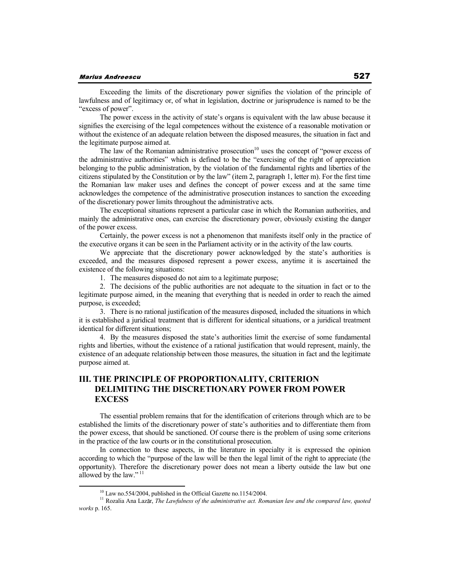#### **Marius Andreescu**

Exceeding the limits of the discretionary power signifies the violation of the principle of lawfulness and of legitimacy or, of what in legislation, doctrine or jurisprudence is named to be the "excess of power".

The power excess in the activity of state's organs is equivalent with the law abuse because it signifies the exercising of the legal competences without the existence of a reasonable motivation or without the existence of an adequate relation between the disposed measures, the situation in fact and the legitimate purpose aimed at.

The law of the Romanian administrative prosecution<sup>10</sup> uses the concept of "power excess of the administrative authorities" which is defined to be the "exercising of the right of appreciation belonging to the public administration, by the violation of the fundamental rights and liberties of the citizens stipulated by the Constitution or by the law" (item 2, paragraph 1, letter m). For the first time the Romanian law maker uses and defines the concept of power excess and at the same time acknowledges the competence of the administrative prosecution instances to sanction the exceeding of the discretionary power limits throughout the administrative acts.

The exceptional situations represent a particular case in which the Romanian authorities, and mainly the administrative ones, can exercise the discretionary power, obviously existing the danger of the power excess.

Certainly, the power excess is not a phenomenon that manifests itself only in the practice of the executive organs it can be seen in the Parliament activity or in the activity of the law courts.

We appreciate that the discretionary power acknowledged by the state's authorities is exceeded, and the measures disposed represent a power excess, anytime it is ascertained the existence of the following situations:

1. The measures disposed do not aim to a legitimate purpose;

2. The decisions of the public authorities are not adequate to the situation in fact or to the legitimate purpose aimed, in the meaning that everything that is needed in order to reach the aimed purpose, is exceeded;

3. There is no rational justification of the measures disposed, included the situations in which it is established a juridical treatment that is different for identical situations, or a juridical treatment identical for different situations;

4. By the measures disposed the state's authorities limit the exercise of some fundamental rights and liberties, without the existence of a rational justification that would represent, mainly, the existence of an adequate relationship between those measures, the situation in fact and the legitimate purpose aimed at.

# **III. THE PRINCIPLE OF PROPORTIONALITY, CRITERION DELIMITING THE DISCRETIONARY POWER FROM POWER EXCESS**

The essential problem remains that for the identification of criterions through which are to be established the limits of the discretionary power of state's authorities and to differentiate them from the power excess, that should be sanctioned. Of course there is the problem of using some criterions in the practice of the law courts or in the constitutional prosecution.

In connection to these aspects, in the literature in specialty it is expressed the opinion according to which the "purpose of the law will be then the legal limit of the right to appreciate (the opportunity). Therefore the discretionary power does not mean a liberty outside the law but one allowed by the law."<sup>11</sup>

<sup>&</sup>lt;sup>10</sup> Law no.554/2004, published in the Official Gazette no.1154/2004.

<sup>&</sup>lt;sup>11</sup> Rozalia Ana Lazăr, *The Lawfulness of the administrative act. Romanian law and the compared law, quoted works* p. 165.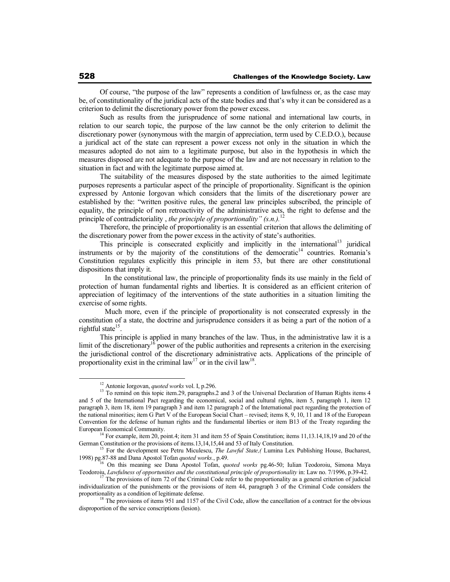Of course, "the purpose of the law" represents a condition of lawfulness or, as the case may be, of constitutionality of the juridical acts of the state bodies and that's why it can be considered as a criterion to delimit the discretionary power from the power excess.

Such as results from the jurisprudence of some national and international law courts, in relation to our search topic, the purpose of the law cannot be the only criterion to delimit the discretionary power (synonymous with the margin of appreciation, term used by C.E.D.O.), because a juridical act of the state can represent a power excess not only in the situation in which the measures adopted do not aim to a legitimate purpose, but also in the hypothesis in which the measures disposed are not adequate to the purpose of the law and are not necessary in relation to the situation in fact and with the legitimate purpose aimed at.

The suitability of the measures disposed by the state authorities to the aimed legitimate purposes represents a particular aspect of the principle of proportionality. Significant is the opinion expressed by Antonie Iorgovan which considers that the limits of the discretionary power are established by the: "written positive rules, the general law principles subscribed, the principle of equality, the principle of non retroactivity of the administrative acts, the right to defense and the principle of contradictoriality, *the principle of proportionality*" (s.n.).<sup>1</sup>

Therefore, the principle of proportionality is an essential criterion that allows the delimiting of the discretionary power from the power excess in the activity of state's authorities.

This principle is consecrated explicitly and implicitly in the international<sup>13</sup> juridical instruments or by the majority of the constitutions of the democratic<sup>14</sup> countries. Romania's Constitution regulates explicitly this principle in item 53, but there are other constitutional dispositions that imply it.

 In the constitutional law, the principle of proportionality finds its use mainly in the field of protection of human fundamental rights and liberties. It is considered as an efficient criterion of appreciation of legitimacy of the interventions of the state authorities in a situation limiting the exercise of some rights.

 Much more, even if the principle of proportionality is not consecrated expressly in the constitution of a state, the doctrine and jurisprudence considers it as being a part of the notion of a rightful state<sup>15</sup>.

This principle is applied in many branches of the law. Thus, in the administrative law it is a limit of the discretionary<sup>16</sup> power of the public authorities and represents a criterion in the exercising the jurisdictional control of the discretionary administrative acts. Applications of the principle of proportionality exist in the criminal  $law<sup>17</sup>$  or in the civil law<sup>18</sup>.

<sup>12</sup> Antonie Iorgovan, *quoted works* vol. I, p.296.

<sup>&</sup>lt;sup>13</sup> To remind on this topic item.29, paragraphs.2 and 3 of the Universal Declaration of Human Rights items 4 and 5 of the International Pact regarding the economical, social and cultural rights, item 5, paragraph 1, item 12 paragraph 3, item 18, item 19 paragraph 3 and item 12 paragraph 2 of the International pact regarding the protection of the national minorities; item G Part V of the European Social Chart – revised; items 8, 9, 10, 11 and 18 of the European Convention for the defense of human rights and the fundamental liberties or item B13 of the Treaty regarding the European Economical Community.

<sup>&</sup>lt;sup>14</sup> For example, item 20, point.4; item 31 and item 55 of Spain Constitution; items 11,13.14,18,19 and 20 of the German Constitution or the provisions of items.13,14,15,44 and 53 of Italy Constitution.

<sup>15</sup> For the development see Petru Miculescu, *The Lawful State,(* Lumina Lex Publishing House, Bucharest, 1998) pg.87-88 and Dana Apostol Tofan *quoted works.*, p.49. <sup>16</sup> On this meaning see Dana Apostol Tofan, *quoted works* pg.46-50; Iulian Teodoroiu, Simona Maya

Teodoroiu, *Lawfulness of opportunities and the constitutional principle of proportionality* in: Law no. 7/1996, p.39-42.

<sup>17</sup> The provisions of item 72 of the Criminal Code refer to the proportionality as a general criterion of judicial individualization of the punishments or the provisions of item 44, paragraph 3 of the Criminal Code considers the proportionality as a condition of legitimate defense.<br><sup>18</sup> The provisions of items 951 and 1157 of the Civil Code, allow the cancellation of a contract for the obvious

disproportion of the service conscriptions (lesion).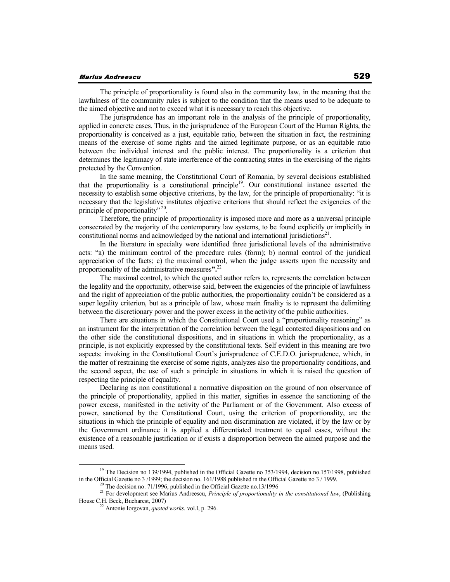#### **Marius Andreescu**

The principle of proportionality is found also in the community law, in the meaning that the lawfulness of the community rules is subject to the condition that the means used to be adequate to the aimed objective and not to exceed what it is necessary to reach this objective.

The jurisprudence has an important role in the analysis of the principle of proportionality, applied in concrete cases. Thus, in the jurisprudence of the European Court of the Human Rights, the proportionality is conceived as a just, equitable ratio, between the situation in fact, the restraining means of the exercise of some rights and the aimed legitimate purpose, or as an equitable ratio between the individual interest and the public interest. The proportionality is a criterion that determines the legitimacy of state interference of the contracting states in the exercising of the rights protected by the Convention.

In the same meaning, the Constitutional Court of Romania, by several decisions established that the proportionality is a constitutional principle<sup>19</sup>. Our constitutional instance asserted the necessity to establish some objective criterions, by the law, for the principle of proportionality: "it is necessary that the legislative institutes objective criterions that should reflect the exigencies of the principle of proportionality"<sup>20</sup>.

Therefore, the principle of proportionality is imposed more and more as a universal principle consecrated by the majority of the contemporary law systems, to be found explicitly or implicitly in constitutional norms and acknowledged by the national and international jurisdictions $2<sup>1</sup>$ .

In the literature in specialty were identified three jurisdictional levels of the administrative acts: "a) the minimum control of the procedure rules (form); b) normal control of the juridical appreciation of the facts; c) the maximal control, when the judge asserts upon the necessity and proportionality of the administrative measures**".**<sup>22</sup>

The maximal control, to which the quoted author refers to, represents the correlation between the legality and the opportunity, otherwise said, between the exigencies of the principle of lawfulness and the right of appreciation of the public authorities, the proportionality couldn't be considered as a super legality criterion, but as a principle of law, whose main finality is to represent the delimiting between the discretionary power and the power excess in the activity of the public authorities.

There are situations in which the Constitutional Court used a "proportionality reasoning" as an instrument for the interpretation of the correlation between the legal contested dispositions and on the other side the constitutional dispositions, and in situations in which the proportionality, as a principle, is not explicitly expressed by the constitutional texts. Self evident in this meaning are two aspects: invoking in the Constitutional Court's jurisprudence of C.E.D.O. jurisprudence, which, in the matter of restraining the exercise of some rights, analyzes also the proportionality conditions, and the second aspect, the use of such a principle in situations in which it is raised the question of respecting the principle of equality.

Declaring as non constitutional a normative disposition on the ground of non observance of the principle of proportionality, applied in this matter, signifies in essence the sanctioning of the power excess, manifested in the activity of the Parliament or of the Government. Also excess of power, sanctioned by the Constitutional Court, using the criterion of proportionality, are the situations in which the principle of equality and non discrimination are violated, if by the law or by the Government ordinance it is applied a differentiated treatment to equal cases, without the existence of a reasonable justification or if exists a disproportion between the aimed purpose and the means used.

<sup>&</sup>lt;sup>19</sup> The Decision no 139/1994, published in the Official Gazette no 353/1994, decision no.157/1998, published in the Official Gazette no 3 /1999; the decision no. 161/1988 published in the Official Gazette no 3 / 1999.

<sup>&</sup>lt;sup>20</sup> The decision no. 71/1996, published in the Official Gazette no.13/1996

<sup>&</sup>lt;sup>21</sup> For development see Marius Andreescu, *Principle of proportionality in the constitutional law*, (Publishing House C.H. Beck, Bucharest, 2007)

<sup>22</sup> Antonie Iorgovan, *quoted works.* vol.I, p. 296.